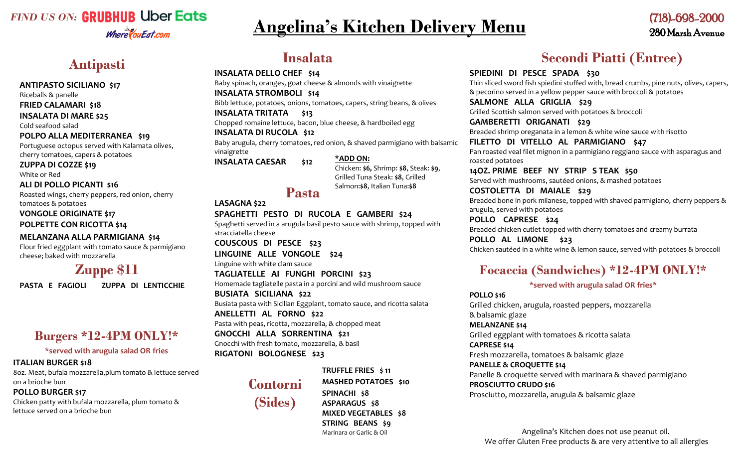## *FIND US ON:* **GRUBHUB Uber Eats** Where You Eat.com

# **Angelina's Kitchen Delivery Menu**

## (718)-698-2000 280 Marsh Avenue

## **ANTIPASTO SICILIANO \$17**

Riceballs & panelle

## **FRIED CALAMARI \$18**

**INSALATA DI MARE \$25**

Cold seafood salad

## **POLPO ALLA MEDITERRANEA \$19**

Portuguese octopus served with Kalamata olives, cherry tomatoes, capers & potatoes

## **ZUPPA DI COZZE \$19**

White or Red

## **ALI DI POLLO PICANTI \$16**

Roasted wings, cherry peppers, red onion, cherry tomatoes & potatoes

### **VONGOLE ORIGINATE \$17**

**POLPETTE CON RICOTTA \$14**

## **MELANZANA ALLA PARMIGIANA \$14**

Flour fried eggplant with tomato sauce & parmigiano cheese; baked with mozzarella

# **Zuppe \$11**

**PASTA E FAGIOLI ZUPPA DI LENTICCHIE** 

## **Burgers \*12-4PM ONLY!\***

## **\*served with arugula salad OR fries**

## **ITALIAN BURGER \$18**

8oz. Meat, bufala mozzarella,plum tomato & lettuce served on a brioche bun

#### Ī **POLLO BURGER \$17**

Chicken patty with bufala mozzarella, plum tomato & lettuce served on a brioche bun

# **Antipasti Insalata**

### **INSALATA DELLO CHEF \$14**

Baby spinach, oranges, goat cheese & almonds with vinaigrette **INSALATA STROMBOLI \$14** Bibb lettuce, potatoes, onions, tomatoes, capers, string beans, & olives **INSALATA TRITATA \$13**

Chopped romaine lettuce, bacon, blue cheese, & hardboiled egg

### **INSALATA DI RUCOLA \$12**

Baby arugula, cherry tomatoes, red onion, & shaved parmigiano with balsamic vinaigrette

**INSALATA CAESAR \$12**

# **\*ADD ON:**

Chicken: **\$6,** Shrimp: **\$8**, Steak: **\$9**, Grilled Tuna Steak: **\$8**, Grilled Salmon:**\$8**, Italian Tuna:**\$8**

## **Pasta**

**LASAGNA \$22 SPAGHETTI PESTO DI RUCOLA E GAMBERI \$24** Spaghetti served in a arugula basil pesto sauce with shrimp, topped with stracciatella cheese **COUSCOUS DI PESCE \$23 LINGUINE ALLE VONGOLE \$24** Linguine with white clam sauce **TAGLIATELLE AI FUNGHI PORCINI \$23** Homemade tagliatelle pasta in a porcini and wild mushroom sauce **BUSIATA SICILIANA \$22** Busiata pasta with Sicilian Eggplant, tomato sauce, and ricotta salata **ANELLETTI AL FORNO \$22** Pasta with peas, ricotta, mozzarella, & chopped meat **GNOCCHI ALLA SORRENTINA \$21** Gnocchi with fresh tomato, mozzarella, & basil **RIGATONI BOLOGNESE \$23**

## **TRUFFLE FRIES \$ 11**



**MASHED POTATOES \$10 SPINACHI \$8 ASPARAGUS \$8 MIXED VEGETABLES \$8 STRING BEANS \$9** Marinara or Garlic & Oil

# **Secondi Piatti (Entree)**

**SPIEDINI DI PESCE SPADA \$30** Thin sliced sword fish spiedini stuffed with, bread crumbs, pine nuts, olives, capers, & pecorino served in a yellow pepper sauce with broccoli & potatoes

**SALMONE ALLA GRIGLIA \$29** Grilled Scottish salmon served with potatoes & broccoli

**GAMBERETTI ORIGANATI \$29** Breaded shrimp oreganata in a lemon & white wine sauce with risotto

**FILETTO DI VITELLO AL PARMIGIANO \$47** Pan roasted veal filet mignon in a parmigiano reggiano sauce with asparagus and roasted potatoes

**14OZ. PRIME BEEF NY STRIP S TEAK \$50** Served with mushrooms, sautéed onions, & mashed potatoes

**COSTOLETTA DI MAIALE \$29** Breaded bone in pork milanese, topped with shaved parmigiano, cherry peppers & arugula, served with potatoes

**POLLO CAPRESE \$24** Breaded chicken cutlet topped with cherry tomatoes and creamy burrata

**POLLO AL LIMONE \$23** Chicken sautéed in a white wine & lemon sauce, served with potatoes & broccoli

## **Focaccia (Sandwiches) \*12-4PM ONLY!\***

## **\*served with arugula salad OR fries\***

**POLLO \$16** Grilled chicken, arugula, roasted peppers, mozzarella & balsamic glaze **MELANZANE \$14** Grilled eggplant with tomatoes & ricotta salata **CAPRESE \$14** Fresh mozzarella, tomatoes & balsamic glaze **PANELLE & CROQUETTE \$14** Panelle & croquette served with marinara & shaved parmigiano **PROSCIUTTO CRUDO \$16** Prosciutto, mozzarella, arugula & balsamic glaze

Angelina's Kitchen does not use peanut oil. We offer Gluten Free products & are very attentive to all allergies